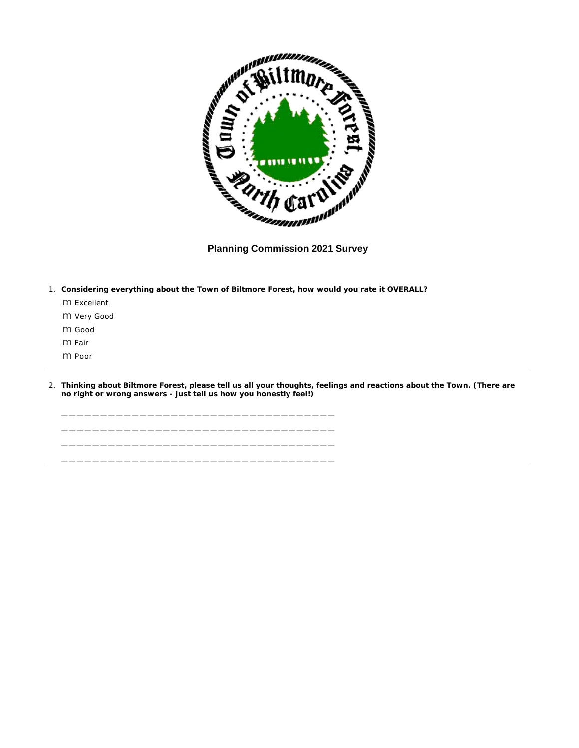

1. **Considering everything about the Town of Biltmore Forest, how would you rate it OVERALL?**

\_\_\_\_\_\_\_\_\_\_\_\_\_\_\_\_\_\_\_\_\_\_\_\_\_\_\_\_\_\_\_\_\_\_\_ \_\_\_\_\_\_\_\_\_\_\_\_\_\_\_\_\_\_\_\_\_\_\_\_\_\_\_\_\_\_\_\_\_\_\_ \_\_\_\_\_\_\_\_\_\_\_\_\_\_\_\_\_\_\_\_\_\_\_\_\_\_\_\_\_\_\_\_\_\_\_ \_\_\_\_\_\_\_\_\_\_\_\_\_\_\_\_\_\_\_\_\_\_\_\_\_\_\_\_\_\_\_\_\_\_\_

- m Excellent
- Very Good
- m Good
- m Fair
- m Poor
- 2. **Thinking about Biltmore Forest, please tell us all your thoughts, feelings and reactions about the Town. (There are no right or wrong answers - just tell us how you honestly feel!)**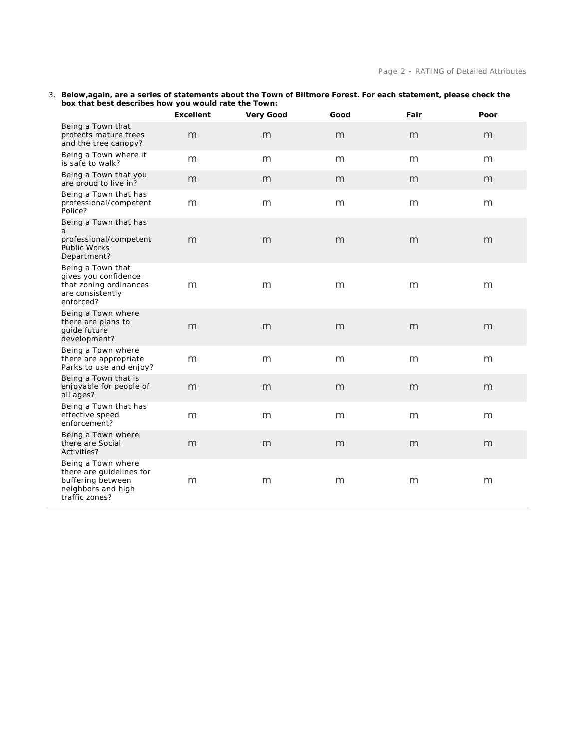3. **Below,again, are a series of statements about the Town of Biltmore Forest. For each statement, please check the box that best describes how you would rate the Town:**

|                                                                                                             | Excellent | Very Good | Good | Fair | Poor |
|-------------------------------------------------------------------------------------------------------------|-----------|-----------|------|------|------|
| Being a Town that<br>protects mature trees<br>and the tree canopy?                                          | m         | m         | m    | m    | m    |
| Being a Town where it<br>is safe to walk?                                                                   | m         | m         | m    | m    | m    |
| Being a Town that you<br>are proud to live in?                                                              | m         | m         | m    | m    | m    |
| Being a Town that has<br>professional/competent<br>Police?                                                  | m         | m         | m    | m    | m    |
| Being a Town that has<br>a                                                                                  |           |           |      |      |      |
| professional/competent<br><b>Public Works</b><br>Department?                                                | m         | m         | m    | m    | m    |
| Being a Town that<br>gives you confidence<br>that zoning ordinances<br>are consistently<br>enforced?        | m         | m         | m    | m    | m    |
| Being a Town where<br>there are plans to<br>quide future<br>development?                                    | m         | m         | m    | m    | m    |
| Being a Town where<br>there are appropriate<br>Parks to use and enjoy?                                      | m         | m         | m    | m    | m    |
| Being a Town that is<br>enjoyable for people of<br>all ages?                                                | m         | m         | m    | m    | m    |
| Being a Town that has<br>effective speed<br>enforcement?                                                    | m         | m         | m    | m    | m    |
| Being a Town where<br>there are Social<br>Activities?                                                       | m         | m         | m    | m    | m    |
| Being a Town where<br>there are guidelines for<br>buffering between<br>neighbors and high<br>traffic zones? | m         | m         | m    | m    | m    |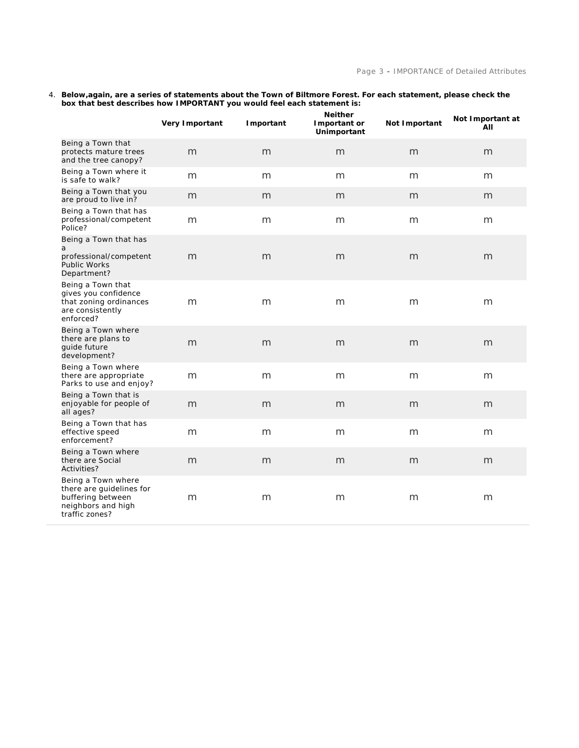4. **Below,again, are a series of statements about the Town of Biltmore Forest. For each statement, please check the box that best describes how IMPORTANT you would feel each statement is:**

|                                                                                                             | Very Important | Important | Neither<br>Important or<br>Unimportant | Not Important | Not Important at<br>AII |
|-------------------------------------------------------------------------------------------------------------|----------------|-----------|----------------------------------------|---------------|-------------------------|
| Being a Town that<br>protects mature trees<br>and the tree canopy?                                          | m              | m         | m                                      | m             | m                       |
| Being a Town where it<br>is safe to walk?                                                                   | m              | m         | m                                      | m             | m                       |
| Being a Town that you<br>are proud to live in?                                                              | m              | m         | m                                      | m             | m                       |
| Being a Town that has<br>professional/competent<br>Police?                                                  | m              | m         | m                                      | m             | m                       |
| Being a Town that has<br>a<br>professional/competent<br><b>Public Works</b><br>Department?                  | m              | m         | m                                      | m             | m                       |
| Being a Town that<br>gives you confidence<br>that zoning ordinances<br>are consistently<br>enforced?        | m              | m         | m                                      | m             | m                       |
| Being a Town where<br>there are plans to<br>quide future<br>development?                                    | m              | m         | m                                      | m             | m                       |
| Being a Town where<br>there are appropriate<br>Parks to use and enjoy?                                      | m              | m         | m                                      | m             | m                       |
| Being a Town that is<br>enjoyable for people of<br>all ages?                                                | m              | m         | m                                      | m             | m                       |
| Being a Town that has<br>effective speed<br>enforcement?                                                    | m              | m         | m                                      | m             | m                       |
| Being a Town where<br>there are Social<br>Activities?                                                       | m              | m         | m                                      | m             | m                       |
| Being a Town where<br>there are guidelines for<br>buffering between<br>neighbors and high<br>traffic zones? | m              | m         | m                                      | m             | m                       |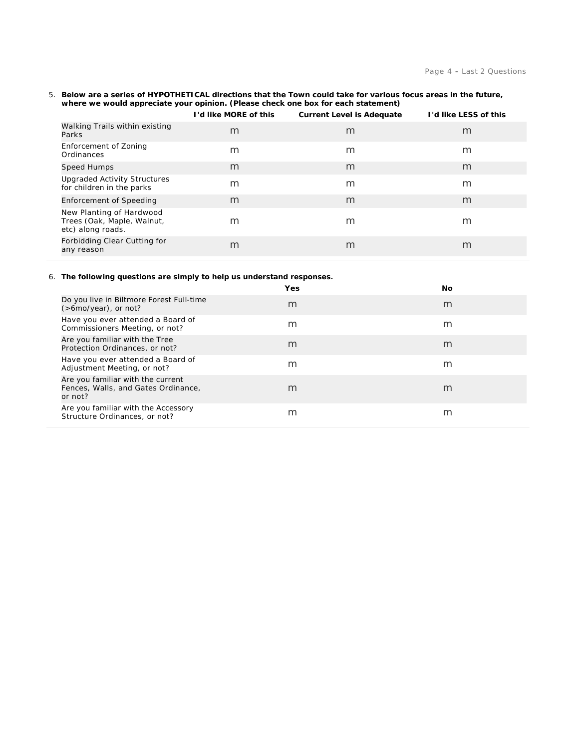5. **Below are a series of HYPOTHETICAL directions that the Town could take for various focus areas in the future, where we would appreciate your opinion. (Please check one box for each statement)**

|                                                                             | I'd like MORE of this | Current Level is Adequate | I'd like LESS of this |
|-----------------------------------------------------------------------------|-----------------------|---------------------------|-----------------------|
| Walking Trails within existing<br>Parks                                     | m                     | m                         | m                     |
| Enforcement of Zoning<br>Ordinances                                         | m                     | m                         | m                     |
| Speed Humps                                                                 | m                     | m                         | m                     |
| Upgraded Activity Structures<br>for children in the parks                   | m                     | m                         | m                     |
| <b>Enforcement of Speeding</b>                                              | m                     | m                         | m                     |
| New Planting of Hardwood<br>Trees (Oak, Maple, Walnut,<br>etc) along roads. | m                     | m                         | m                     |
| Forbidding Clear Cutting for<br>any reason                                  | m                     | m                         | m                     |

6. **The following questions are simply to help us understand responses.**

|                                                                                     | Yes | <b>No</b> |
|-------------------------------------------------------------------------------------|-----|-----------|
| Do you live in Biltmore Forest Full-time<br>$($ >6mo/year), or not?                 | m   | m         |
| Have you ever attended a Board of<br>Commissioners Meeting, or not?                 | m   | m         |
| Are you familiar with the Tree<br>Protection Ordinances, or not?                    | m   | m         |
| Have you ever attended a Board of<br>Adjustment Meeting, or not?                    | m   | m         |
| Are you familiar with the current<br>Fences, Walls, and Gates Ordinance,<br>or not? | m   | m         |
| Are you familiar with the Accessory<br>Structure Ordinances, or not?                | m   | m         |